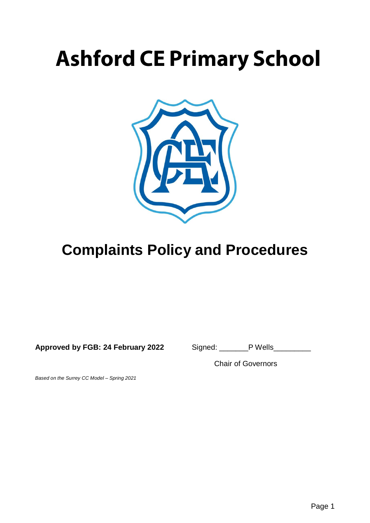# **Ashford CE Primary School**



# **Complaints Policy and Procedures**

**Approved by FGB: 24 February 2022** Signed: \_\_\_\_\_\_\_P Wells\_\_\_\_\_\_\_\_\_

Chair of Governors

*Based on the Surrey CC Model – Spring 2021*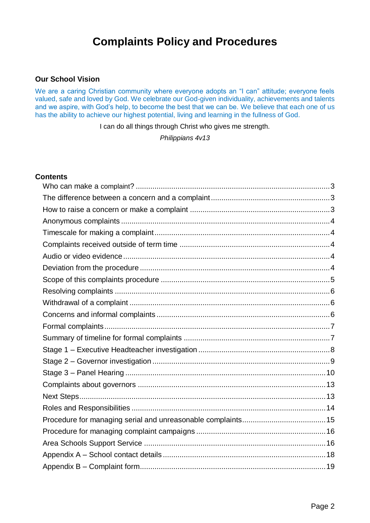## **Complaints Policy and Procedures**

#### **Our School Vision**

We are a caring Christian community where everyone adopts an "I can" attitude; everyone feels valued, safe and loved by God. We celebrate our God-given individuality, achievements and talents and we aspire, with God's help, to become the best that we can be. We believe that each one of us has the ability to achieve our highest potential, living and learning in the fullness of God.

I can do all things through Christ who gives me strength.

*Philippians 4v13*

#### **Contents**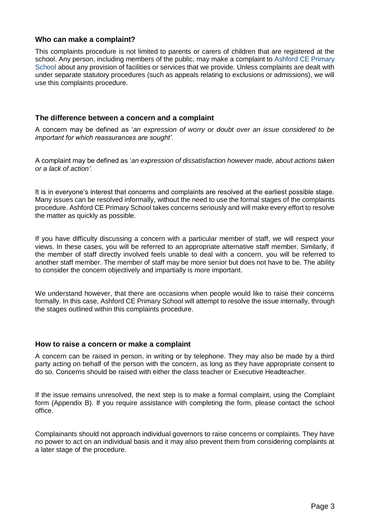#### <span id="page-2-0"></span>**Who can make a complaint?**

This complaints procedure is not limited to parents or carers of children that are registered at the school. Any person, including members of the public, may make a complaint to Ashford CE Primary School about any provision of facilities or services that we provide. Unless complaints are dealt with under separate statutory procedures (such as appeals relating to exclusions or admissions), we will use this complaints procedure.

#### <span id="page-2-1"></span>**The difference between a concern and a complaint**

A concern may be defined as '*an expression of worry or doubt over an issue considered to be important for which reassurances are sought'*.

A complaint may be defined as '*an expression of dissatisfaction however made, about actions taken or a lack of action'.*

It is in everyone's interest that concerns and complaints are resolved at the earliest possible stage. Many issues can be resolved informally, without the need to use the formal stages of the complaints procedure. Ashford CE Primary School takes concerns seriously and will make every effort to resolve the matter as quickly as possible.

If you have difficulty discussing a concern with a particular member of staff, we will respect your views. In these cases, you will be referred to an appropriate alternative staff member. Similarly, if the member of staff directly involved feels unable to deal with a concern, you will be referred to another staff member. The member of staff may be more senior but does not have to be. The ability to consider the concern objectively and impartially is more important.

We understand however, that there are occasions when people would like to raise their concerns formally. In this case, Ashford CE Primary School will attempt to resolve the issue internally, through the stages outlined within this complaints procedure.

#### <span id="page-2-2"></span>**How to raise a concern or make a complaint**

A concern can be raised in person, in writing or by telephone. They may also be made by a third party acting on behalf of the person with the concern, as long as they have appropriate consent to do so. Concerns should be raised with either the class teacher or Executive Headteacher.

If the issue remains unresolved, the next step is to make a formal complaint, using the Complaint form (Appendix B). If you require assistance with completing the form, please contact the school office.

Complainants should not approach individual governors to raise concerns or complaints. They have no power to act on an individual basis and it may also prevent them from considering complaints at a later stage of the procedure.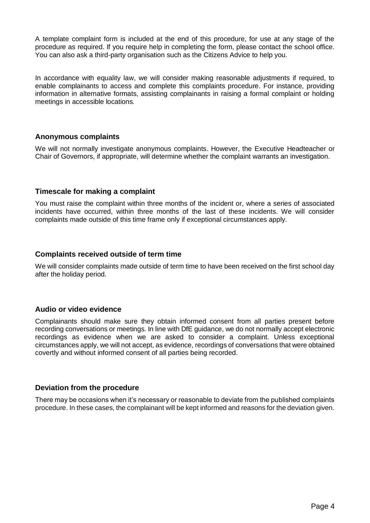A template complaint form is included at the end of this procedure, for use at any stage of the procedure as required. If you require help in completing the form, please contact the school office. You can also ask a third-party organisation such as the Citizens Advice to help you.

In accordance with equality law, we will consider making reasonable adjustments if required, to enable complainants to access and complete this complaints procedure. For instance, providing information in alternative formats, assisting complainants in raising a formal complaint or holding meetings in accessible locations.

#### <span id="page-3-0"></span>**Anonymous complaints**

We will not normally investigate anonymous complaints. However, the Executive Headteacher or Chair of Governors, if appropriate, will determine whether the complaint warrants an investigation.

#### <span id="page-3-1"></span>**Timescale for making a complaint**

You must raise the complaint within three months of the incident or, where a series of associated incidents have occurred, within three months of the last of these incidents. We will consider complaints made outside of this time frame only if exceptional circumstances apply.

#### <span id="page-3-2"></span>**Complaints received outside of term time**

We will consider complaints made outside of term time to have been received on the first school day after the holiday period.

#### <span id="page-3-3"></span>**Audio or video evidence**

Complainants should make sure they obtain informed consent from all parties present before recording conversations or meetings. In line with DfE guidance, we do not normally accept electronic recordings as evidence when we are asked to consider a complaint. Unless exceptional circumstances apply, we will not accept, as evidence, recordings of conversations that were obtained covertly and without informed consent of all parties being recorded.

#### <span id="page-3-4"></span>**Deviation from the procedure**

There may be occasions when it's necessary or reasonable to deviate from the published complaints procedure. In these cases, the complainant will be kept informed and reasons for the deviation given.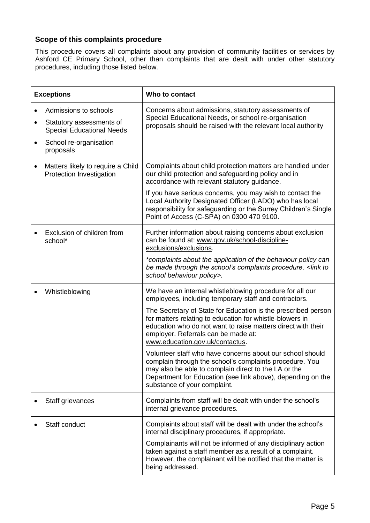#### <span id="page-4-0"></span>**Scope of this complaints procedure**

This procedure covers all complaints about any provision of community facilities or services by Ashford CE Primary School, other than complaints that are dealt with under other statutory procedures, including those listed below.

|   | <b>Exceptions</b>                                                                                                            | Who to contact                                                                                                                                                                                                                                                                                                                                                                                                                                                                                                                                                                                                                                                          |
|---|------------------------------------------------------------------------------------------------------------------------------|-------------------------------------------------------------------------------------------------------------------------------------------------------------------------------------------------------------------------------------------------------------------------------------------------------------------------------------------------------------------------------------------------------------------------------------------------------------------------------------------------------------------------------------------------------------------------------------------------------------------------------------------------------------------------|
| ٠ | Admissions to schools<br>Statutory assessments of<br><b>Special Educational Needs</b><br>School re-organisation<br>proposals | Concerns about admissions, statutory assessments of<br>Special Educational Needs, or school re-organisation<br>proposals should be raised with the relevant local authority                                                                                                                                                                                                                                                                                                                                                                                                                                                                                             |
|   | Matters likely to require a Child<br>Protection Investigation                                                                | Complaints about child protection matters are handled under<br>our child protection and safeguarding policy and in<br>accordance with relevant statutory guidance.<br>If you have serious concerns, you may wish to contact the<br>Local Authority Designated Officer (LADO) who has local<br>responsibility for safeguarding or the Surrey Children's Single<br>Point of Access (C-SPA) on 0300 470 9100.                                                                                                                                                                                                                                                              |
|   | Exclusion of children from<br>school*                                                                                        | Further information about raising concerns about exclusion<br>can be found at: www.gov.uk/school-discipline-<br>exclusions/exclusions.<br>*complaints about the application of the behaviour policy can<br>be made through the school's complaints procedure. <link to<br=""/> school behaviour policy>.                                                                                                                                                                                                                                                                                                                                                                |
|   | Whistleblowing                                                                                                               | We have an internal whistleblowing procedure for all our<br>employees, including temporary staff and contractors.<br>The Secretary of State for Education is the prescribed person<br>for matters relating to education for whistle-blowers in<br>education who do not want to raise matters direct with their<br>employer. Referrals can be made at:<br>www.education.gov.uk/contactus.<br>Volunteer staff who have concerns about our school should<br>complain through the school's complaints procedure. You<br>may also be able to complain direct to the LA or the<br>Department for Education (see link above), depending on the<br>substance of your complaint. |
|   | Staff grievances                                                                                                             | Complaints from staff will be dealt with under the school's<br>internal grievance procedures.                                                                                                                                                                                                                                                                                                                                                                                                                                                                                                                                                                           |
|   | Staff conduct                                                                                                                | Complaints about staff will be dealt with under the school's<br>internal disciplinary procedures, if appropriate.<br>Complainants will not be informed of any disciplinary action<br>taken against a staff member as a result of a complaint.<br>However, the complainant will be notified that the matter is<br>being addressed.                                                                                                                                                                                                                                                                                                                                       |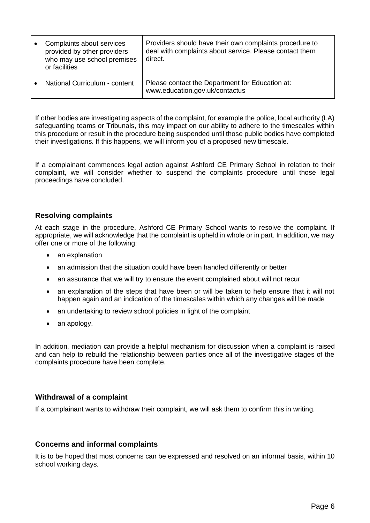| Complaints about services<br>provided by other providers<br>who may use school premises<br>or facilities | Providers should have their own complaints procedure to<br>deal with complaints about service. Please contact them<br>direct. |
|----------------------------------------------------------------------------------------------------------|-------------------------------------------------------------------------------------------------------------------------------|
| National Curriculum - content                                                                            | Please contact the Department for Education at:<br>www.education.gov.uk/contactus                                             |

If other bodies are investigating aspects of the complaint, for example the police, local authority (LA) safeguarding teams or Tribunals, this may impact on our ability to adhere to the timescales within this procedure or result in the procedure being suspended until those public bodies have completed their investigations. If this happens, we will inform you of a proposed new timescale.

If a complainant commences legal action against Ashford CE Primary School in relation to their complaint, we will consider whether to suspend the complaints procedure until those legal proceedings have concluded.

#### <span id="page-5-0"></span>**Resolving complaints**

At each stage in the procedure, Ashford CE Primary School wants to resolve the complaint. If appropriate, we will acknowledge that the complaint is upheld in whole or in part. In addition, we may offer one or more of the following:

- an explanation
- an admission that the situation could have been handled differently or better
- an assurance that we will try to ensure the event complained about will not recur
- an explanation of the steps that have been or will be taken to help ensure that it will not happen again and an indication of the timescales within which any changes will be made
- an undertaking to review school policies in light of the complaint
- an apology.

In addition, mediation can provide a helpful mechanism for discussion when a complaint is raised and can help to rebuild the relationship between parties once all of the investigative stages of the complaints procedure have been complete.

#### <span id="page-5-1"></span>**Withdrawal of a complaint**

If a complainant wants to withdraw their complaint, we will ask them to confirm this in writing.

#### <span id="page-5-2"></span>**Concerns and informal complaints**

It is to be hoped that most concerns can be expressed and resolved on an informal basis, within 10 school working days.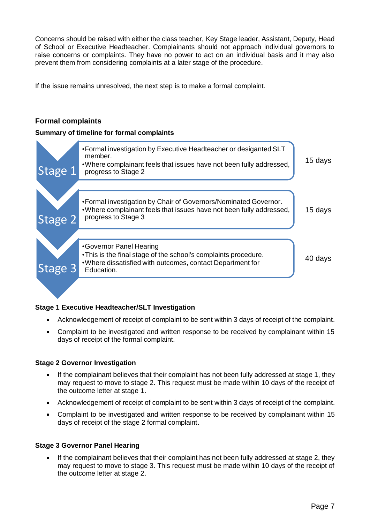Concerns should be raised with either the class teacher, Key Stage leader, Assistant, Deputy, Head of School or Executive Headteacher. Complainants should not approach individual governors to raise concerns or complaints. They have no power to act on an individual basis and it may also prevent them from considering complaints at a later stage of the procedure.

If the issue remains unresolved, the next step is to make a formal complaint.

#### <span id="page-6-0"></span>**Formal complaints**

#### <span id="page-6-1"></span>**Summary of timeline for formal complaints**



#### **Stage 1 Executive Headteacher/SLT Investigation**

- Acknowledgement of receipt of complaint to be sent within 3 days of receipt of the complaint.
- Complaint to be investigated and written response to be received by complainant within 15 days of receipt of the formal complaint.

#### **Stage 2 Governor Investigation**

- If the complainant believes that their complaint has not been fully addressed at stage 1, they may request to move to stage 2. This request must be made within 10 days of the receipt of the outcome letter at stage 1.
- Acknowledgement of receipt of complaint to be sent within 3 days of receipt of the complaint.
- Complaint to be investigated and written response to be received by complainant within 15 days of receipt of the stage 2 formal complaint.

#### **Stage 3 Governor Panel Hearing**

 If the complainant believes that their complaint has not been fully addressed at stage 2, they may request to move to stage 3. This request must be made within 10 days of the receipt of the outcome letter at stage 2.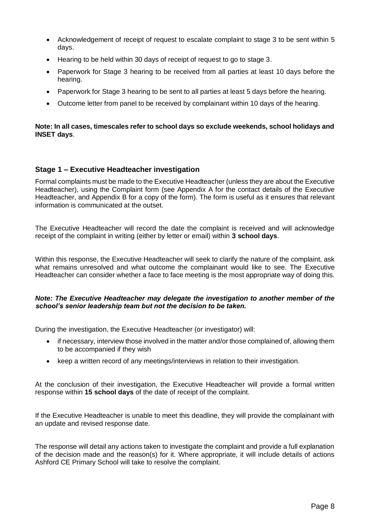- Acknowledgement of receipt of request to escalate complaint to stage 3 to be sent within 5 days.
- Hearing to be held within 30 days of receipt of request to go to stage 3.
- Paperwork for Stage 3 hearing to be received from all parties at least 10 days before the hearing.
- Paperwork for Stage 3 hearing to be sent to all parties at least 5 days before the hearing.
- Outcome letter from panel to be received by complainant within 10 days of the hearing.

#### **Note: In all cases, timescales refer to school days so exclude weekends, school holidays and INSET days**.

#### <span id="page-7-0"></span>**Stage 1 – Executive Headteacher investigation**

Formal complaints must be made to the Executive Headteacher (unless they are about the Executive Headteacher), using the Complaint form (see Appendix A for the contact details of the Executive Headteacher, and Appendix B for a copy of the form). The form is useful as it ensures that relevant information is communicated at the outset.

The Executive Headteacher will record the date the complaint is received and will acknowledge receipt of the complaint in writing (either by letter or email) within **3 school days**.

Within this response, the Executive Headteacher will seek to clarify the nature of the complaint, ask what remains unresolved and what outcome the complainant would like to see. The Executive Headteacher can consider whether a face to face meeting is the most appropriate way of doing this.

#### *Note: The Executive Headteacher may delegate the investigation to another member of the school's senior leadership team but not the decision to be taken.*

During the investigation, the Executive Headteacher (or investigator) will:

- if necessary, interview those involved in the matter and/or those complained of, allowing them to be accompanied if they wish
- keep a written record of any meetings/interviews in relation to their investigation.

At the conclusion of their investigation, the Executive Headteacher will provide a formal written response within **15 school days** of the date of receipt of the complaint.

If the Executive Headteacher is unable to meet this deadline, they will provide the complainant with an update and revised response date.

The response will detail any actions taken to investigate the complaint and provide a full explanation of the decision made and the reason(s) for it. Where appropriate, it will include details of actions Ashford CE Primary School will take to resolve the complaint.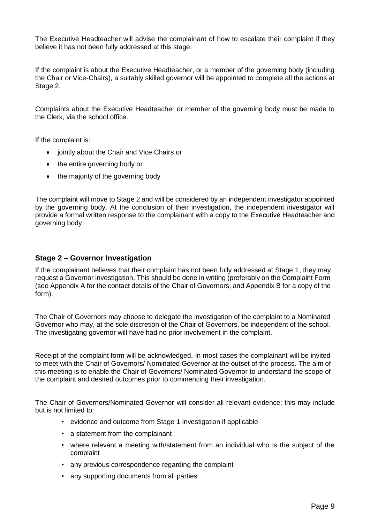The Executive Headteacher will advise the complainant of how to escalate their complaint if they believe it has not been fully addressed at this stage.

If the complaint is about the Executive Headteacher, or a member of the governing body (including the Chair or Vice-Chairs), a suitably skilled governor will be appointed to complete all the actions at Stage 2.

Complaints about the Executive Headteacher or member of the governing body must be made to the Clerk, via the school office.

If the complaint is:

- jointly about the Chair and Vice Chairs or
- the entire governing body or
- the majority of the governing body

The complaint will move to Stage 2 and will be considered by an independent investigator appointed by the governing body. At the conclusion of their investigation, the independent investigator will provide a formal written response to the complainant with a copy to the Executive Headteacher and governing body.

#### <span id="page-8-0"></span>**Stage 2 – Governor Investigation**

If the complainant believes that their complaint has not been fully addressed at Stage 1, they may request a Governor investigation. This should be done in writing (preferably on the Complaint Form (see Appendix A for the contact details of the Chair of Governors, and Appendix B for a copy of the form).

The Chair of Governors may choose to delegate the investigation of the complaint to a Nominated Governor who may, at the sole discretion of the Chair of Governors, be independent of the school. The investigating governor will have had no prior involvement in the complaint.

Receipt of the complaint form will be acknowledged. In most cases the complainant will be invited to meet with the Chair of Governors/ Nominated Governor at the outset of the process. The aim of this meeting is to enable the Chair of Governors/ Nominated Governor to understand the scope of the complaint and desired outcomes prior to commencing their investigation.

The Chair of Governors/Nominated Governor will consider all relevant evidence; this may include but is not limited to:

- evidence and outcome from Stage 1 investigation if applicable
- a statement from the complainant
- where relevant a meeting with/statement from an individual who is the subject of the complaint
- any previous correspondence regarding the complaint
- any supporting documents from all parties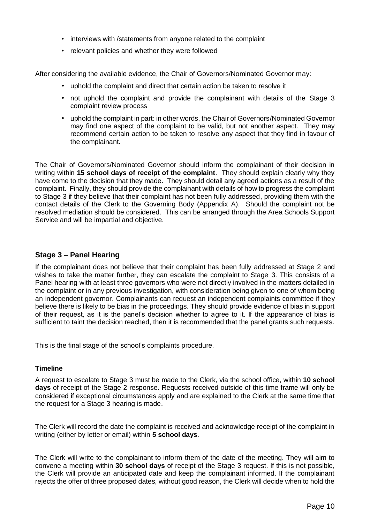- interviews with /statements from anyone related to the complaint
- relevant policies and whether they were followed

After considering the available evidence, the Chair of Governors/Nominated Governor may:

- uphold the complaint and direct that certain action be taken to resolve it
- not uphold the complaint and provide the complainant with details of the Stage 3 complaint review process
- uphold the complaint in part: in other words, the Chair of Governors/Nominated Governor may find one aspect of the complaint to be valid, but not another aspect. They may recommend certain action to be taken to resolve any aspect that they find in favour of the complainant.

The Chair of Governors/Nominated Governor should inform the complainant of their decision in writing within **15 school days of receipt of the complaint**. They should explain clearly why they have come to the decision that they made. They should detail any agreed actions as a result of the complaint. Finally, they should provide the complainant with details of how to progress the complaint to Stage 3 if they believe that their complaint has not been fully addressed, providing them with the contact details of the Clerk to the Governing Body (Appendix A). Should the complaint not be resolved mediation should be considered. This can be arranged through the Area Schools Support Service and will be impartial and objective.

#### <span id="page-9-0"></span>**Stage 3 – Panel Hearing**

If the complainant does not believe that their complaint has been fully addressed at Stage 2 and wishes to take the matter further, they can escalate the complaint to Stage 3. This consists of a Panel hearing with at least three governors who were not directly involved in the matters detailed in the complaint or in any previous investigation, with consideration being given to one of whom being an independent governor. Complainants can request an independent complaints committee if they believe there is likely to be bias in the [proceedings.](https://www.gov.uk/government/publications/school-complaints-procedures/best-practice-advice-for-school-complaints-procedures-2019#bias-in-the-proceedings) They should provide evidence of bias in support of their request, as it is the panel's decision whether to agree to it. If the appearance of bias is sufficient to taint the decision reached, then it is recommended that the panel grants such requests.

This is the final stage of the school's complaints procedure.

#### **Timeline**

A request to escalate to Stage 3 must be made to the Clerk, via the school office, within **10 school days** of receipt of the Stage 2 response. Requests received outside of this time frame will only be considered if exceptional circumstances apply and are explained to the Clerk at the same time that the request for a Stage 3 hearing is made.

The Clerk will record the date the complaint is received and acknowledge receipt of the complaint in writing (either by letter or email) within **5 school days**.

The Clerk will write to the complainant to inform them of the date of the meeting. They will aim to convene a meeting within **30 school days** of receipt of the Stage 3 request. If this is not possible, the Clerk will provide an anticipated date and keep the complainant informed. If the complainant rejects the offer of three proposed dates, without good reason, the Clerk will decide when to hold the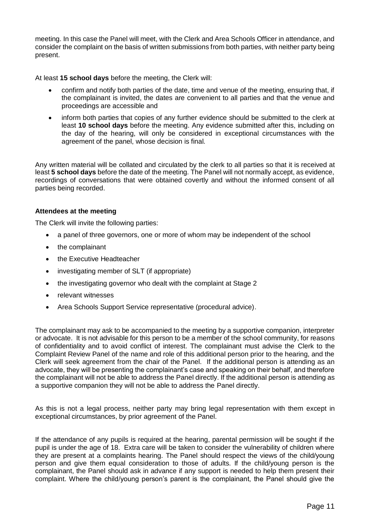meeting. In this case the Panel will meet, with the Clerk and Area Schools Officer in attendance, and consider the complaint on the basis of written submissions from both parties, with neither party being present.

At least **15 school days** before the meeting, the Clerk will:

- confirm and notify both parties of the date, time and venue of the meeting, ensuring that, if the complainant is invited, the dates are convenient to all parties and that the venue and proceedings are accessible and
- inform both parties that copies of any further evidence should be submitted to the clerk at least **10 school days** before the meeting. Any evidence submitted after this, including on the day of the hearing, will only be considered in exceptional circumstances with the agreement of the panel, whose decision is final.

Any written material will be collated and circulated by the clerk to all parties so that it is received at least **5 school days** before the date of the meeting. The Panel will not normally accept, as evidence, recordings of conversations that were obtained covertly and without the informed consent of all parties being recorded.

#### **Attendees at the meeting**

The Clerk will invite the following parties:

- a panel of three governors, one or more of whom may be independent of the school
- the complainant
- the Executive Headteacher
- investigating member of SLT (if appropriate)
- the investigating governor who dealt with the complaint at Stage 2
- relevant witnesses
- Area Schools Support Service representative (procedural advice).

The complainant may ask to be accompanied to the meeting by a supportive companion, interpreter or advocate. It is not advisable for this person to be a member of the school community, for reasons of confidentiality and to avoid conflict of interest. The complainant must advise the Clerk to the Complaint Review Panel of the name and role of this additional person prior to the hearing, and the Clerk will seek agreement from the chair of the Panel. If the additional person is attending as an advocate, they will be presenting the complainant's case and speaking on their behalf, and therefore the complainant will not be able to address the Panel directly. If the additional person is attending as a supportive companion they will not be able to address the Panel directly.

As this is not a legal process, neither party may bring legal representation with them except in exceptional circumstances, by prior agreement of the Panel.

If the attendance of any pupils is required at the hearing, parental permission will be sought if the pupil is under the age of 18. Extra care will be taken to consider the vulnerability of children where they are present at a complaints hearing. The Panel should respect the views of the child/young person and give them equal consideration to those of adults. If the child/young person is the complainant, the Panel should ask in advance if any support is needed to help them present their complaint. Where the child/young person's parent is the complainant, the Panel should give the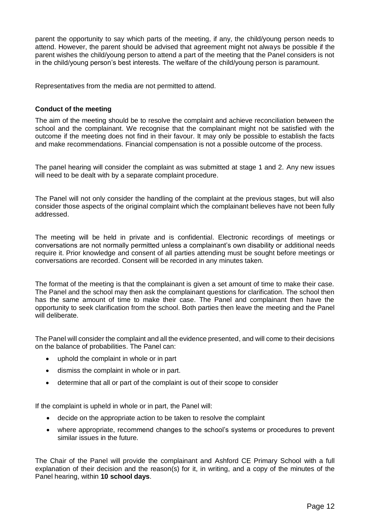parent the opportunity to say which parts of the meeting, if any, the child/young person needs to attend. However, the parent should be advised that agreement might not always be possible if the parent wishes the child/young person to attend a part of the meeting that the Panel considers is not in the child/young person's best interests. The welfare of the child/young person is paramount.

Representatives from the media are not permitted to attend.

#### **Conduct of the meeting**

The aim of the meeting should be to resolve the complaint and achieve reconciliation between the school and the complainant. We recognise that the complainant might not be satisfied with the outcome if the meeting does not find in their favour. It may only be possible to establish the facts and make recommendations. Financial compensation is not a possible outcome of the process.

The panel hearing will consider the complaint as was submitted at stage 1 and 2. Any new issues will need to be dealt with by a separate complaint procedure.

The Panel will not only consider the handling of the complaint at the previous stages, but will also consider those aspects of the original complaint which the complainant believes have not been fully addressed.

The meeting will be held in private and is confidential. Electronic recordings of meetings or conversations are not normally permitted unless a complainant's own disability or additional needs require it. Prior knowledge and consent of all parties attending must be sought before meetings or conversations are recorded. Consent will be recorded in any minutes taken.

The format of the meeting is that the complainant is given a set amount of time to make their case. The Panel and the school may then ask the complainant questions for clarification. The school then has the same amount of time to make their case. The Panel and complainant then have the opportunity to seek clarification from the school. Both parties then leave the meeting and the Panel will deliberate.

The Panel will consider the complaint and all the evidence presented, and will come to their decisions on the balance of probabilities. The Panel can:

- uphold the complaint in whole or in part
- dismiss the complaint in whole or in part.
- determine that all or part of the complaint is out of their scope to consider

If the complaint is upheld in whole or in part, the Panel will:

- decide on the appropriate action to be taken to resolve the complaint
- where appropriate, recommend changes to the school's systems or procedures to prevent similar issues in the future.

The Chair of the Panel will provide the complainant and Ashford CE Primary School with a full explanation of their decision and the reason(s) for it, in writing, and a copy of the minutes of the Panel hearing, within **10 school days**.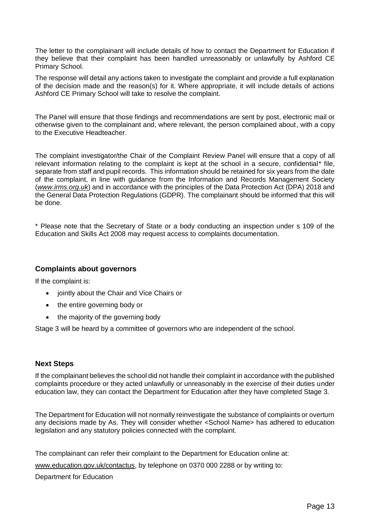The letter to the complainant will include details of how to contact the Department for Education if they believe that their complaint has been handled unreasonably or unlawfully by Ashford CE Primary School.

The response will detail any actions taken to investigate the complaint and provide a full explanation of the decision made and the reason(s) for it. Where appropriate, it will include details of actions Ashford CE Primary School will take to resolve the complaint.

The Panel will ensure that those findings and recommendations are sent by post, electronic mail or otherwise given to the complainant and, where relevant, the person complained about, with a copy to the Executive Headteacher.

The complaint investigator/the Chair of the Complaint Review Panel will ensure that a copy of all relevant information relating to the complaint is kept at the school in a secure, confidential\* file, separate from staff and pupil records. This information should be retained for six years from the date of the complaint, in line with guidance from the Information and Records Management Society (*[www.irms.org.uk](http://www.irms.org.uk/)*) and in accordance with the principles of the Data Protection Act (DPA) 2018 and the General Data Protection Regulations (GDPR). The complainant should be informed that this will be done.

\* Please note that the Secretary of State or a body conducting an inspection under s 109 of the Education and Skills Act 2008 may request access to complaints documentation.

#### <span id="page-12-0"></span>**Complaints about governors**

If the complaint is:

- jointly about the Chair and Vice Chairs or
- the entire governing body or
- the majority of the governing body

Stage 3 will be heard by a committee of governors who are independent of the school.

#### <span id="page-12-1"></span>**Next Steps**

If the complainant believes the school did not handle their complaint in accordance with the published complaints procedure or they acted unlawfully or unreasonably in the exercise of their duties under education law, they can contact the Department for Education after they have completed Stage 3.

The Department for Education will not normally reinvestigate the substance of complaints or overturn any decisions made by As. They will consider whether <School Name> has adhered to education legislation and any statutory policies connected with the complaint.

The complainant can refer their complaint to the Department for Education online at:

[www.education.gov.uk/contactus,](http://www.education.gov.uk/contactus) by telephone on 0370 000 2288 or by writing to:

#### Department for Education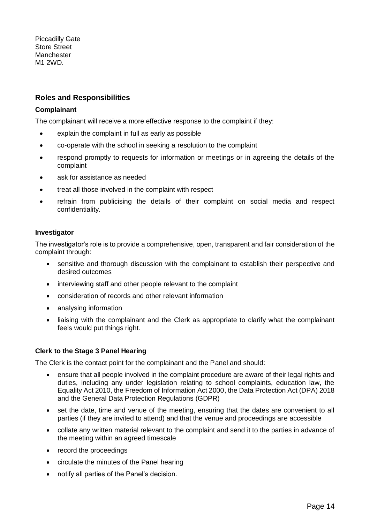Piccadilly Gate Store Street **Manchester** M1 2WD.

#### <span id="page-13-0"></span>**Roles and Responsibilities**

#### **Complainant**

The complainant will receive a more effective response to the complaint if they:

- explain the complaint in full as early as possible
- co-operate with the school in seeking a resolution to the complaint
- respond promptly to requests for information or meetings or in agreeing the details of the complaint
- ask for assistance as needed
- treat all those involved in the complaint with respect
- refrain from publicising the details of their complaint on social media and respect confidentiality.

#### **Investigator**

The investigator's role is to provide a comprehensive, open, transparent and fair consideration of the complaint through:

- sensitive and thorough discussion with the complainant to establish their perspective and desired outcomes
- interviewing staff and other people relevant to the complaint
- consideration of records and other relevant information
- analysing information
- liaising with the complainant and the Clerk as appropriate to clarify what the complainant feels would put things right.

#### **Clerk to the Stage 3 Panel Hearing**

The Clerk is the contact point for the complainant and the Panel and should:

- ensure that all people involved in the complaint procedure are aware of their legal rights and duties, including any under legislation relating to school complaints, education law, the Equality Act 2010, the Freedom of Information Act 2000, the Data Protection Act (DPA) 2018 and the General Data Protection Regulations (GDPR)
- set the date, time and venue of the meeting, ensuring that the dates are convenient to all parties (if they are invited to attend) and that the venue and proceedings are accessible
- collate any written material relevant to the complaint and send it to the parties in advance of the meeting within an agreed timescale
- record the proceedings
- circulate the minutes of the Panel hearing
- notify all parties of the Panel's decision.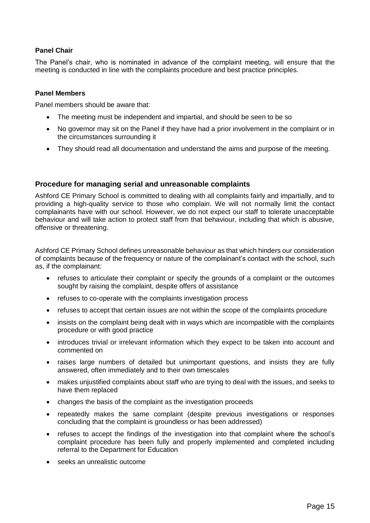#### **Panel Chair**

The Panel's chair, who is nominated in advance of the complaint meeting, will ensure that the meeting is conducted in line with the complaints procedure and best practice principles.

#### **Panel Members**

Panel members should be aware that:

- The meeting must be independent and impartial, and should be seen to be so
- No governor may sit on the Panel if they have had a prior involvement in the complaint or in the circumstances surrounding it
- They should read all documentation and understand the aims and purpose of the meeting.

#### <span id="page-14-0"></span>**Procedure for managing serial and unreasonable complaints**

Ashford CE Primary School is committed to dealing with all complaints fairly and impartially, and to providing a high-quality service to those who complain. We will not normally limit the contact complainants have with our school. However, we do not expect our staff to tolerate unacceptable behaviour and will take action to protect staff from that behaviour, including that which is abusive, offensive or threatening.

Ashford CE Primary School defines unreasonable behaviour as that which hinders our consideration of complaints because of the frequency or nature of the complainant's contact with the school, such as, if the complainant:

- refuses to articulate their complaint or specify the grounds of a complaint or the outcomes sought by raising the complaint, despite offers of assistance
- refuses to co-operate with the complaints investigation process
- refuses to accept that certain issues are not within the scope of the complaints procedure
- insists on the complaint being dealt with in ways which are incompatible with the complaints procedure or with good practice
- introduces trivial or irrelevant information which they expect to be taken into account and commented on
- raises large numbers of detailed but unimportant questions, and insists they are fully answered, often immediately and to their own timescales
- makes unjustified complaints about staff who are trying to deal with the issues, and seeks to have them replaced
- changes the basis of the complaint as the investigation proceeds
- repeatedly makes the same complaint (despite previous investigations or responses concluding that the complaint is groundless or has been addressed)
- refuses to accept the findings of the investigation into that complaint where the school's complaint procedure has been fully and properly implemented and completed including referral to the Department for Education
- seeks an unrealistic outcome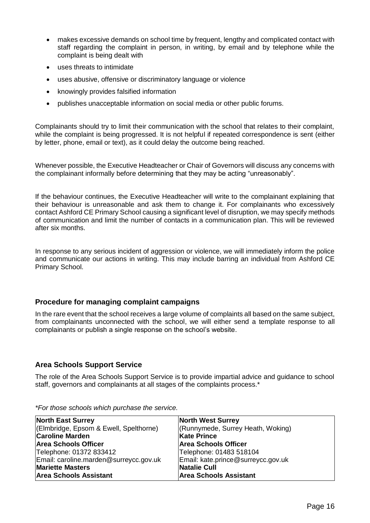- makes excessive demands on school time by frequent, lengthy and complicated contact with staff regarding the complaint in person, in writing, by email and by telephone while the complaint is being dealt with
- uses threats to intimidate
- uses abusive, offensive or discriminatory language or violence
- knowingly provides falsified information
- publishes unacceptable information on social media or other public forums.

Complainants should try to limit their communication with the school that relates to their complaint, while the complaint is being progressed. It is not helpful if repeated correspondence is sent (either by letter, phone, email or text), as it could delay the outcome being reached.

Whenever possible, the Executive Headteacher or Chair of Governors will discuss any concerns with the complainant informally before determining that they may be acting "unreasonably".

If the behaviour continues, the Executive Headteacher will write to the complainant explaining that their behaviour is unreasonable and ask them to change it. For complainants who excessively contact Ashford CE Primary School causing a significant level of disruption, we may specify methods of communication and limit the number of contacts in a communication plan. This will be reviewed after six months.

In response to any serious incident of aggression or violence, we will immediately inform the police and communicate our actions in writing. This may include barring an individual from Ashford CE Primary School.

#### <span id="page-15-0"></span>**Procedure for managing complaint campaigns**

In the rare event that the school receives a large volume of complaints all based on the same subject, from complainants unconnected with the school, we will either send a template response to all complainants or publish a single response on the school's website.

#### <span id="page-15-1"></span>**Area Schools Support Service**

The role of the Area Schools Support Service is to provide impartial advice and guidance to school staff, governors and complainants at all stages of the complaints process.\*

| <b>North East Surrey</b>               | <b>North West Surrey</b>           |
|----------------------------------------|------------------------------------|
| (Elmbridge, Epsom & Ewell, Spelthorne) | (Runnymede, Surrey Heath, Woking)  |
| <b>Caroline Marden</b>                 | <b>Kate Prince</b>                 |
| <b>Area Schools Officer</b>            | <b>Area Schools Officer</b>        |
| Telephone: 01372 833412                | Telephone: 01483 518104            |
| Email: caroline.marden@surreycc.gov.uk | Email: kate.prince@surreycc.gov.uk |
| <b>Mariette Masters</b>                | Natalie Cull                       |
| <b>Area Schools Assistant</b>          | <b>Area Schools Assistant</b>      |

*\*For those schools which purchase the service.*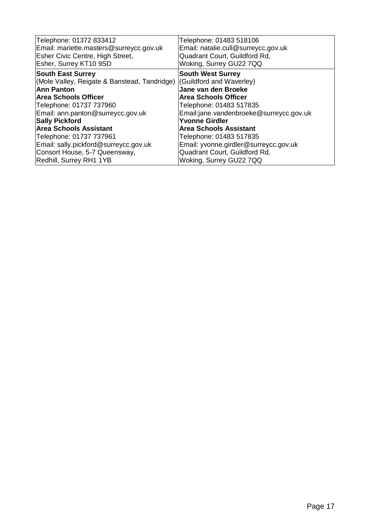| Telephone: 01372 833412                                                                                                                                                                                                                                                                                                                      | Telephone: 01483 518106                                                                                                                                                                                                                                                            |
|----------------------------------------------------------------------------------------------------------------------------------------------------------------------------------------------------------------------------------------------------------------------------------------------------------------------------------------------|------------------------------------------------------------------------------------------------------------------------------------------------------------------------------------------------------------------------------------------------------------------------------------|
| Email: mariette.masters@surreycc.gov.uk                                                                                                                                                                                                                                                                                                      | Email: natalie.cull@surreycc.gov.uk                                                                                                                                                                                                                                                |
| Esher Civic Centre, High Street,                                                                                                                                                                                                                                                                                                             | Quadrant Court, Guildford Rd,                                                                                                                                                                                                                                                      |
| Esher, Surrey KT10 9SD                                                                                                                                                                                                                                                                                                                       | Woking, Surrey GU22 7QQ                                                                                                                                                                                                                                                            |
| <b>South East Surrey</b><br>(Mole Valley, Reigate & Banstead, Tandridge) (Guildford and Waverley)<br>Ann Panton<br><b>Area Schools Officer</b><br>Telephone: 01737 737960<br>Email: ann.panton@surreycc.gov.uk<br><b>Sally Pickford</b><br><b>Area Schools Assistant</b><br>Telephone: 01737 737961<br>Email: sally.pickford@surreycc.gov.uk | <b>South West Surrey</b><br>Jane van den Broeke<br><b>Area Schools Officer</b><br>Telephone: 01483 517835<br>Email:jane.vandenbroeke@surreycc.gov.uk<br><b>Yvonne Girdler</b><br><b>Area Schools Assistant</b><br>Telephone: 01483 517835<br>Email: yvonne.girdler@surreycc.gov.uk |
| Consort House, 5-7 Queensway,                                                                                                                                                                                                                                                                                                                | Quadrant Court, Guildford Rd,                                                                                                                                                                                                                                                      |
| Redhill, Surrey RH1 1YB                                                                                                                                                                                                                                                                                                                      | Woking, Surrey GU22 7QQ                                                                                                                                                                                                                                                            |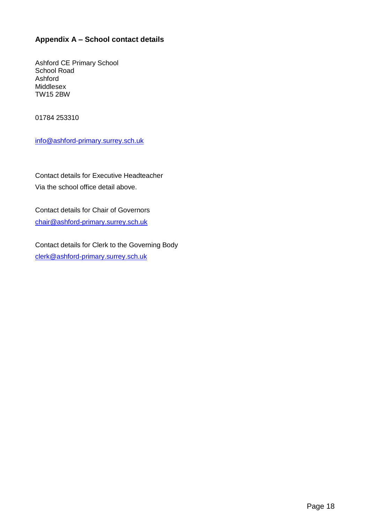#### <span id="page-17-0"></span>**Appendix A – School contact details**

Ashford CE Primary School School Road Ashford Middlesex TW15 2BW

01784 253310

[info@ashford-primary.surrey.sch.uk](mailto:info@ashford-primary.surrey.sch.uk)

Contact details for Executive Headteacher Via the school office detail above.

Contact details for Chair of Governors [chair@ashford-primary.surrey.sch.uk](mailto:chair@ashford-primary.surrey.sch.uk)

Contact details for Clerk to the Governing Body [clerk@ashford-primary.surrey.sch.uk](mailto:clerk@ashford-primary.surrey.sch.uk)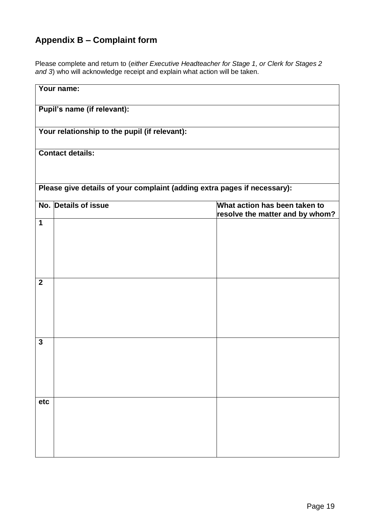### <span id="page-18-0"></span>**Appendix B – Complaint form**

Please complete and return to (*either Executive Headteacher for Stage 1, or Clerk for Stages 2 and 3*) who will acknowledge receipt and explain what action will be taken.

| Your name:                  |                                                                                          |  |  |
|-----------------------------|------------------------------------------------------------------------------------------|--|--|
| Pupil's name (if relevant): |                                                                                          |  |  |
|                             | Your relationship to the pupil (if relevant):                                            |  |  |
| <b>Contact details:</b>     |                                                                                          |  |  |
|                             | Please give details of your complaint (adding extra pages if necessary):                 |  |  |
|                             | No. Details of issue<br>What action has been taken to<br>resolve the matter and by whom? |  |  |
| $\mathbf 1$                 |                                                                                          |  |  |
| $\mathbf{2}$                |                                                                                          |  |  |
| $\mathbf{3}$                |                                                                                          |  |  |
| etc                         |                                                                                          |  |  |